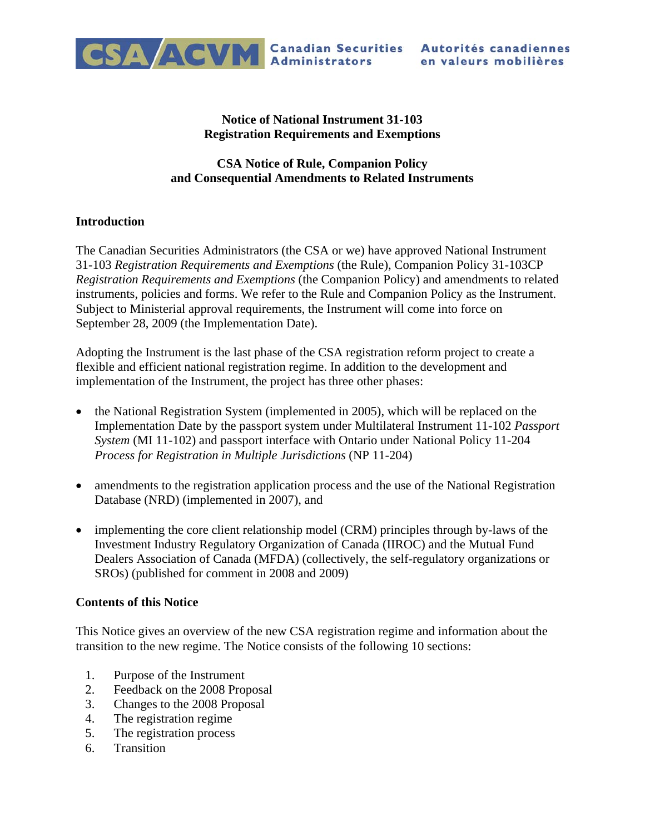

## **Notice of National Instrument 31-103 Registration Requirements and Exemptions**

# **CSA Notice of Rule, Companion Policy and Consequential Amendments to Related Instruments**

# **Introduction**

The Canadian Securities Administrators (the CSA or we) have approved National Instrument 31-103 *Registration Requirements and Exemptions* (the Rule), Companion Policy 31-103CP *Registration Requirements and Exemptions* (the Companion Policy) and amendments to related instruments, policies and forms. We refer to the Rule and Companion Policy as the Instrument. Subject to Ministerial approval requirements, the Instrument will come into force on September 28, 2009 (the Implementation Date).

Adopting the Instrument is the last phase of the CSA registration reform project to create a flexible and efficient national registration regime. In addition to the development and implementation of the Instrument, the project has three other phases:

- the National Registration System (implemented in 2005), which will be replaced on the Implementation Date by the passport system under Multilateral Instrument 11-102 *Passport System* (MI 11-102) and passport interface with Ontario under National Policy 11-204 *Process for Registration in Multiple Jurisdictions* (NP 11-204)
- amendments to the registration application process and the use of the National Registration Database (NRD) (implemented in 2007), and
- implementing the core client relationship model (CRM) principles through by-laws of the Investment Industry Regulatory Organization of Canada (IIROC) and the Mutual Fund Dealers Association of Canada (MFDA) (collectively, the self-regulatory organizations or SROs) (published for comment in 2008 and 2009)

# **Contents of this Notice**

This Notice gives an overview of the new CSA registration regime and information about the transition to the new regime. The Notice consists of the following 10 sections:

- 1. Purpose of the Instrument
- 2. Feedback on the 2008 Proposal
- 3. Changes to the 2008 Proposal
- 4. The registration regime
- 5. The registration process
- 6. Transition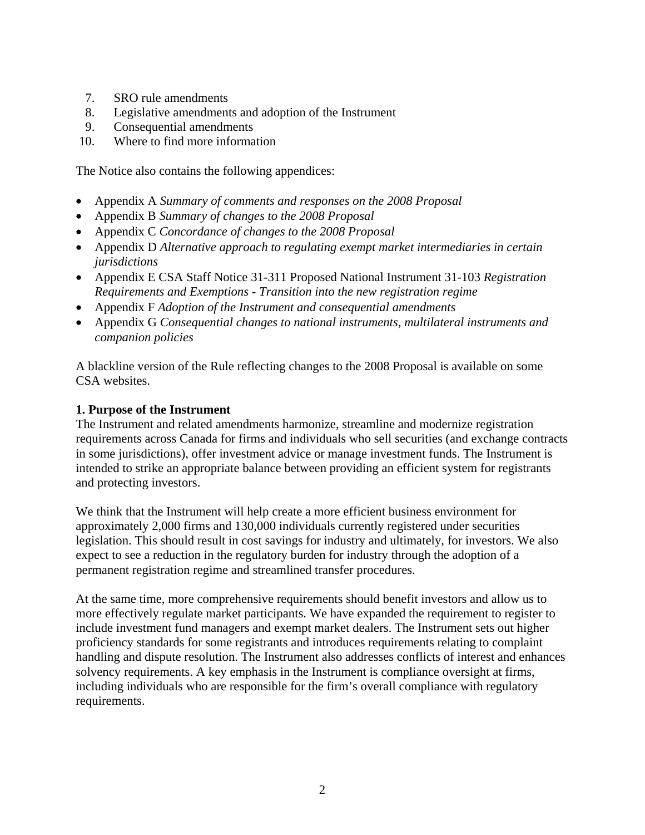- 7. SRO rule amendments
- 8. Legislative amendments and adoption of the Instrument
- 9. Consequential amendments
- 10. Where to find more information

The Notice also contains the following appendices:

- Appendix A *Summary of comments and responses on the 2008 Proposal*
- Appendix B *Summary of changes to the 2008 Proposal*
- Appendix C *Concordance of changes to the 2008 Proposal*
- Appendix D *Alternative approach to regulating exempt market intermediaries in certain jurisdictions*
- Appendix E CSA Staff Notice 31-311 Proposed National Instrument 31-103 *Registration Requirements and Exemptions - Transition into the new registration regime*
- Appendix F *Adoption of the Instrument and consequential amendments*
- Appendix G *Consequential changes to national instruments, multilateral instruments and companion policies*

A blackline version of the Rule reflecting changes to the 2008 Proposal is available on some CSA websites.

# **1. Purpose of the Instrument**

The Instrument and related amendments harmonize, streamline and modernize registration requirements across Canada for firms and individuals who sell securities (and exchange contracts in some jurisdictions), offer investment advice or manage investment funds. The Instrument is intended to strike an appropriate balance between providing an efficient system for registrants and protecting investors.

We think that the Instrument will help create a more efficient business environment for approximately 2,000 firms and 130,000 individuals currently registered under securities legislation. This should result in cost savings for industry and ultimately, for investors. We also expect to see a reduction in the regulatory burden for industry through the adoption of a permanent registration regime and streamlined transfer procedures.

At the same time, more comprehensive requirements should benefit investors and allow us to more effectively regulate market participants. We have expanded the requirement to register to include investment fund managers and exempt market dealers. The Instrument sets out higher proficiency standards for some registrants and introduces requirements relating to complaint handling and dispute resolution. The Instrument also addresses conflicts of interest and enhances solvency requirements. A key emphasis in the Instrument is compliance oversight at firms, including individuals who are responsible for the firm's overall compliance with regulatory requirements.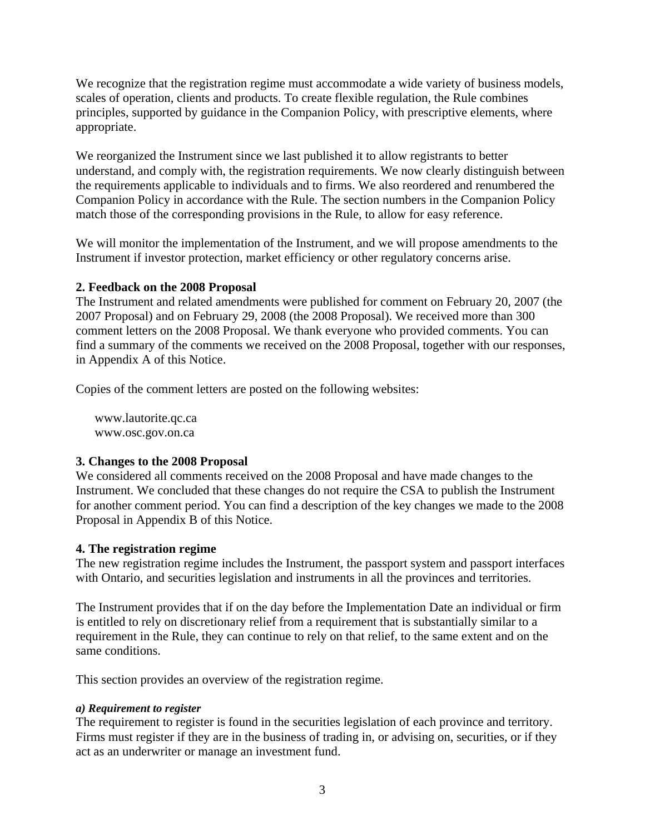We recognize that the registration regime must accommodate a wide variety of business models, scales of operation, clients and products. To create flexible regulation, the Rule combines principles, supported by guidance in the Companion Policy, with prescriptive elements, where appropriate.

We reorganized the Instrument since we last published it to allow registrants to better understand, and comply with, the registration requirements. We now clearly distinguish between the requirements applicable to individuals and to firms. We also reordered and renumbered the Companion Policy in accordance with the Rule. The section numbers in the Companion Policy match those of the corresponding provisions in the Rule, to allow for easy reference.

We will monitor the implementation of the Instrument, and we will propose amendments to the Instrument if investor protection, market efficiency or other regulatory concerns arise.

## **2. Feedback on the 2008 Proposal**

The Instrument and related amendments were published for comment on February 20, 2007 (the 2007 Proposal) and on February 29, 2008 (the 2008 Proposal). We received more than 300 comment letters on the 2008 Proposal. We thank everyone who provided comments. You can find a summary of the comments we received on the 2008 Proposal, together with our responses, in Appendix A of this Notice.

Copies of the comment letters are posted on the following websites:

www.lautorite.qc.ca www.osc.gov.on.ca

#### **3. Changes to the 2008 Proposal**

We considered all comments received on the 2008 Proposal and have made changes to the Instrument. We concluded that these changes do not require the CSA to publish the Instrument for another comment period. You can find a description of the key changes we made to the 2008 Proposal in Appendix B of this Notice.

#### **4. The registration regime**

The new registration regime includes the Instrument, the passport system and passport interfaces with Ontario, and securities legislation and instruments in all the provinces and territories.

The Instrument provides that if on the day before the Implementation Date an individual or firm is entitled to rely on discretionary relief from a requirement that is substantially similar to a requirement in the Rule, they can continue to rely on that relief, to the same extent and on the same conditions.

This section provides an overview of the registration regime.

#### *a) Requirement to register*

The requirement to register is found in the securities legislation of each province and territory. Firms must register if they are in the business of trading in, or advising on, securities, or if they act as an underwriter or manage an investment fund.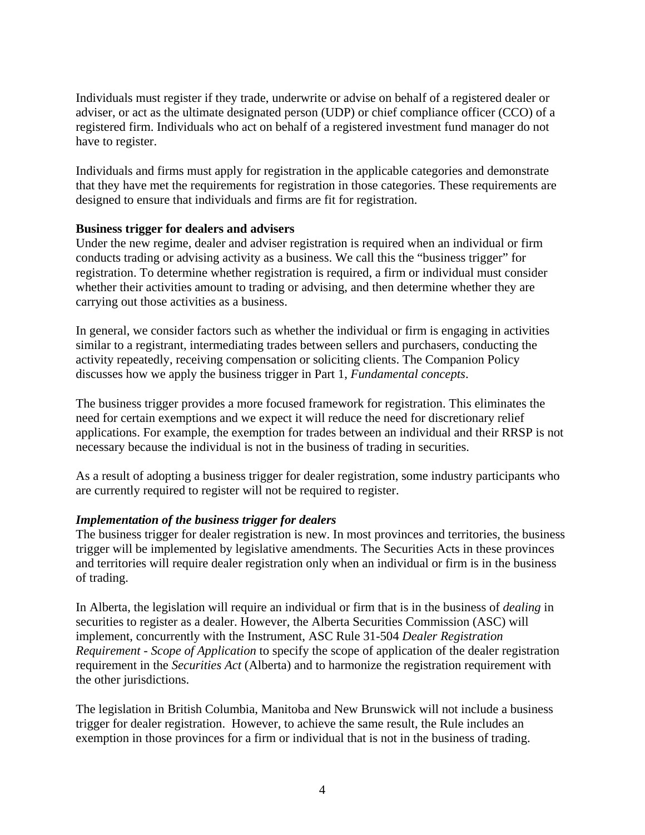Individuals must register if they trade, underwrite or advise on behalf of a registered dealer or adviser, or act as the ultimate designated person (UDP) or chief compliance officer (CCO) of a registered firm. Individuals who act on behalf of a registered investment fund manager do not have to register.

Individuals and firms must apply for registration in the applicable categories and demonstrate that they have met the requirements for registration in those categories. These requirements are designed to ensure that individuals and firms are fit for registration.

## **Business trigger for dealers and advisers**

Under the new regime, dealer and adviser registration is required when an individual or firm conducts trading or advising activity as a business. We call this the "business trigger" for registration. To determine whether registration is required, a firm or individual must consider whether their activities amount to trading or advising, and then determine whether they are carrying out those activities as a business.

In general, we consider factors such as whether the individual or firm is engaging in activities similar to a registrant, intermediating trades between sellers and purchasers, conducting the activity repeatedly, receiving compensation or soliciting clients. The Companion Policy discusses how we apply the business trigger in Part 1, *Fundamental concepts*.

The business trigger provides a more focused framework for registration. This eliminates the need for certain exemptions and we expect it will reduce the need for discretionary relief applications. For example, the exemption for trades between an individual and their RRSP is not necessary because the individual is not in the business of trading in securities.

As a result of adopting a business trigger for dealer registration, some industry participants who are currently required to register will not be required to register.

#### *Implementation of the business trigger for dealers*

The business trigger for dealer registration is new. In most provinces and territories, the business trigger will be implemented by legislative amendments. The Securities Acts in these provinces and territories will require dealer registration only when an individual or firm is in the business of trading.

In Alberta, the legislation will require an individual or firm that is in the business of *dealing* in securities to register as a dealer. However, the Alberta Securities Commission (ASC) will implement, concurrently with the Instrument, ASC Rule 31-504 *Dealer Registration Requirement - Scope of Application* to specify the scope of application of the dealer registration requirement in the *Securities Act* (Alberta) and to harmonize the registration requirement with the other jurisdictions.

The legislation in British Columbia, Manitoba and New Brunswick will not include a business trigger for dealer registration. However, to achieve the same result, the Rule includes an exemption in those provinces for a firm or individual that is not in the business of trading.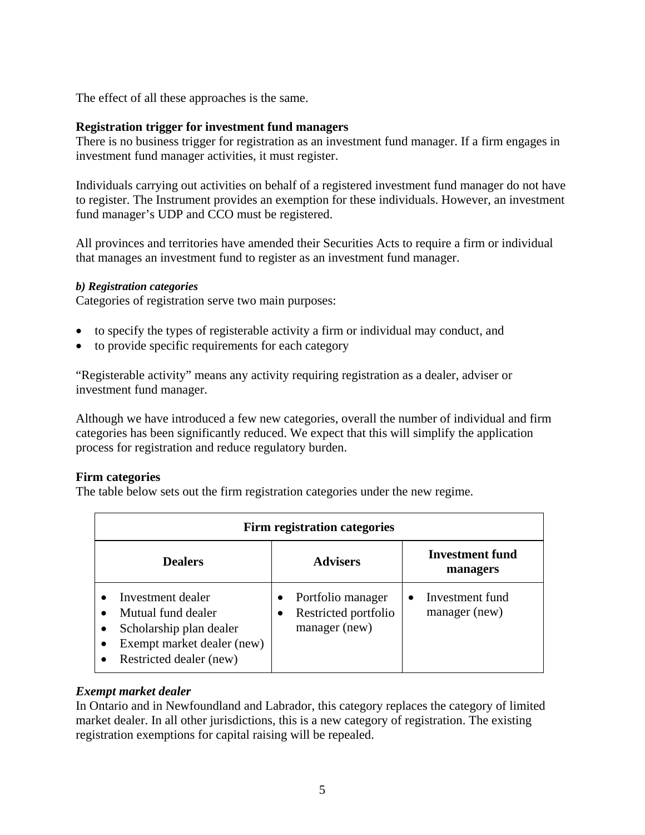The effect of all these approaches is the same.

## **Registration trigger for investment fund managers**

There is no business trigger for registration as an investment fund manager. If a firm engages in investment fund manager activities, it must register.

Individuals carrying out activities on behalf of a registered investment fund manager do not have to register. The Instrument provides an exemption for these individuals. However, an investment fund manager's UDP and CCO must be registered.

All provinces and territories have amended their Securities Acts to require a firm or individual that manages an investment fund to register as an investment fund manager.

#### *b) Registration categories*

Categories of registration serve two main purposes:

- to specify the types of registerable activity a firm or individual may conduct, and
- to provide specific requirements for each category

"Registerable activity" means any activity requiring registration as a dealer, adviser or investment fund manager.

Although we have introduced a few new categories, overall the number of individual and firm categories has been significantly reduced. We expect that this will simplify the application process for registration and reduce regulatory burden.

#### **Firm categories**

The table below sets out the firm registration categories under the new regime.

| Firm registration categories                                                                                                     |                                                            |                                    |  |  |  |
|----------------------------------------------------------------------------------------------------------------------------------|------------------------------------------------------------|------------------------------------|--|--|--|
| <b>Dealers</b>                                                                                                                   | <b>Advisers</b>                                            | <b>Investment fund</b><br>managers |  |  |  |
| Investment dealer<br>Mutual fund dealer<br>Scholarship plan dealer<br>٠<br>Exempt market dealer (new)<br>Restricted dealer (new) | Portfolio manager<br>Restricted portfolio<br>manager (new) | Investment fund<br>manager (new)   |  |  |  |

# *Exempt market dealer*

In Ontario and in Newfoundland and Labrador, this category replaces the category of limited market dealer. In all other jurisdictions, this is a new category of registration. The existing registration exemptions for capital raising will be repealed.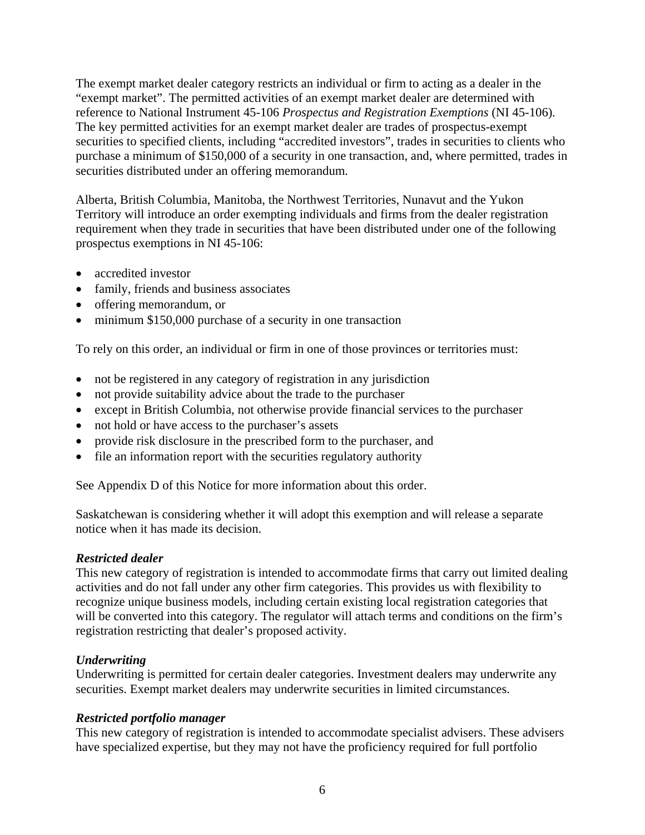The exempt market dealer category restricts an individual or firm to acting as a dealer in the "exempt market". The permitted activities of an exempt market dealer are determined with reference to National Instrument 45-106 *Prospectus and Registration Exemptions* (NI 45-106)*.* The key permitted activities for an exempt market dealer are trades of prospectus-exempt securities to specified clients, including "accredited investors", trades in securities to clients who purchase a minimum of \$150,000 of a security in one transaction, and, where permitted, trades in securities distributed under an offering memorandum.

Alberta, British Columbia, Manitoba, the Northwest Territories, Nunavut and the Yukon Territory will introduce an order exempting individuals and firms from the dealer registration requirement when they trade in securities that have been distributed under one of the following prospectus exemptions in NI 45-106:

- accredited investor
- family, friends and business associates
- offering memorandum, or
- minimum \$150,000 purchase of a security in one transaction

To rely on this order, an individual or firm in one of those provinces or territories must:

- not be registered in any category of registration in any jurisdiction
- not provide suitability advice about the trade to the purchaser
- except in British Columbia, not otherwise provide financial services to the purchaser
- not hold or have access to the purchaser's assets
- provide risk disclosure in the prescribed form to the purchaser, and
- file an information report with the securities regulatory authority

See Appendix D of this Notice for more information about this order.

Saskatchewan is considering whether it will adopt this exemption and will release a separate notice when it has made its decision.

#### *Restricted dealer*

This new category of registration is intended to accommodate firms that carry out limited dealing activities and do not fall under any other firm categories. This provides us with flexibility to recognize unique business models, including certain existing local registration categories that will be converted into this category. The regulator will attach terms and conditions on the firm's registration restricting that dealer's proposed activity.

#### *Underwriting*

Underwriting is permitted for certain dealer categories. Investment dealers may underwrite any securities. Exempt market dealers may underwrite securities in limited circumstances.

#### *Restricted portfolio manager*

This new category of registration is intended to accommodate specialist advisers. These advisers have specialized expertise, but they may not have the proficiency required for full portfolio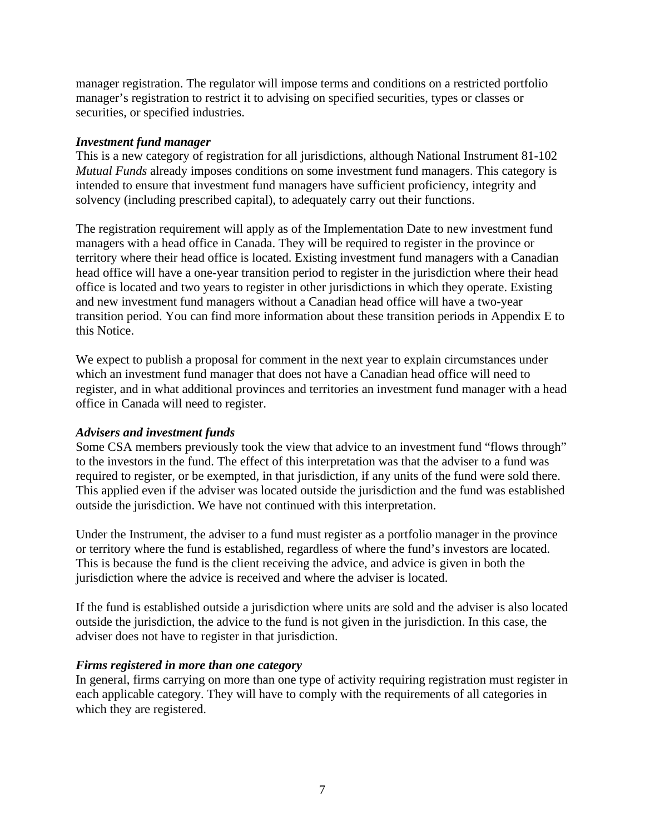manager registration. The regulator will impose terms and conditions on a restricted portfolio manager's registration to restrict it to advising on specified securities, types or classes or securities, or specified industries.

#### *Investment fund manager*

This is a new category of registration for all jurisdictions, although National Instrument 81-102 *Mutual Funds* already imposes conditions on some investment fund managers. This category is intended to ensure that investment fund managers have sufficient proficiency, integrity and solvency (including prescribed capital), to adequately carry out their functions.

The registration requirement will apply as of the Implementation Date to new investment fund managers with a head office in Canada. They will be required to register in the province or territory where their head office is located. Existing investment fund managers with a Canadian head office will have a one-year transition period to register in the jurisdiction where their head office is located and two years to register in other jurisdictions in which they operate. Existing and new investment fund managers without a Canadian head office will have a two-year transition period. You can find more information about these transition periods in Appendix E to this Notice.

We expect to publish a proposal for comment in the next year to explain circumstances under which an investment fund manager that does not have a Canadian head office will need to register, and in what additional provinces and territories an investment fund manager with a head office in Canada will need to register.

# *Advisers and investment funds*

Some CSA members previously took the view that advice to an investment fund "flows through" to the investors in the fund. The effect of this interpretation was that the adviser to a fund was required to register, or be exempted, in that jurisdiction, if any units of the fund were sold there. This applied even if the adviser was located outside the jurisdiction and the fund was established outside the jurisdiction. We have not continued with this interpretation.

Under the Instrument, the adviser to a fund must register as a portfolio manager in the province or territory where the fund is established, regardless of where the fund's investors are located. This is because the fund is the client receiving the advice, and advice is given in both the jurisdiction where the advice is received and where the adviser is located.

If the fund is established outside a jurisdiction where units are sold and the adviser is also located outside the jurisdiction, the advice to the fund is not given in the jurisdiction. In this case, the adviser does not have to register in that jurisdiction.

#### *Firms registered in more than one category*

In general, firms carrying on more than one type of activity requiring registration must register in each applicable category. They will have to comply with the requirements of all categories in which they are registered.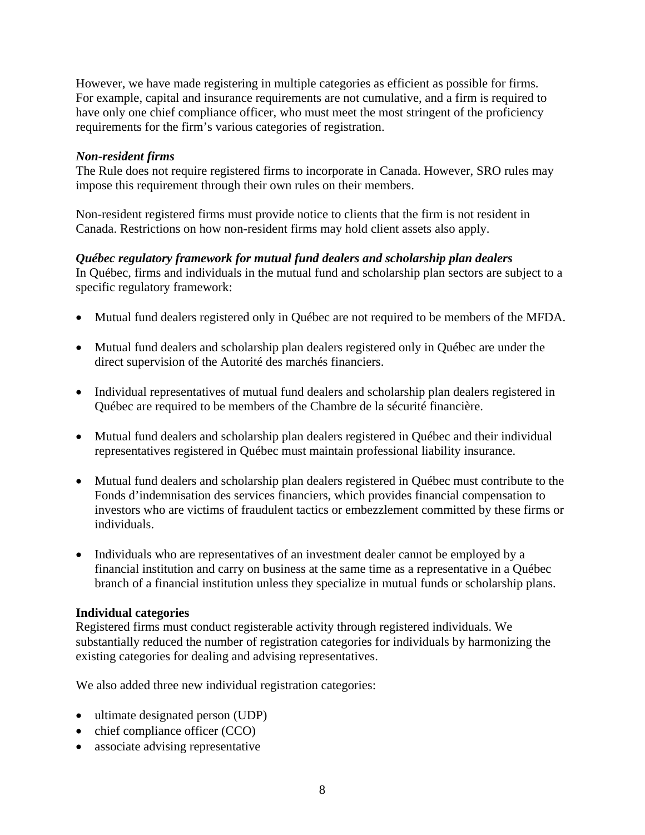However, we have made registering in multiple categories as efficient as possible for firms. For example, capital and insurance requirements are not cumulative, and a firm is required to have only one chief compliance officer, who must meet the most stringent of the proficiency requirements for the firm's various categories of registration.

### *Non-resident firms*

The Rule does not require registered firms to incorporate in Canada. However, SRO rules may impose this requirement through their own rules on their members.

Non-resident registered firms must provide notice to clients that the firm is not resident in Canada. Restrictions on how non-resident firms may hold client assets also apply.

# *Québec regulatory framework for mutual fund dealers and scholarship plan dealers*

In Québec, firms and individuals in the mutual fund and scholarship plan sectors are subject to a specific regulatory framework:

- Mutual fund dealers registered only in Québec are not required to be members of the MFDA.
- Mutual fund dealers and scholarship plan dealers registered only in Québec are under the direct supervision of the Autorité des marchés financiers.
- Individual representatives of mutual fund dealers and scholarship plan dealers registered in Québec are required to be members of the Chambre de la sécurité financière.
- Mutual fund dealers and scholarship plan dealers registered in Québec and their individual representatives registered in Québec must maintain professional liability insurance.
- Mutual fund dealers and scholarship plan dealers registered in Québec must contribute to the Fonds d'indemnisation des services financiers, which provides financial compensation to investors who are victims of fraudulent tactics or embezzlement committed by these firms or individuals.
- Individuals who are representatives of an investment dealer cannot be employed by a financial institution and carry on business at the same time as a representative in a Québec branch of a financial institution unless they specialize in mutual funds or scholarship plans.

# **Individual categories**

Registered firms must conduct registerable activity through registered individuals. We substantially reduced the number of registration categories for individuals by harmonizing the existing categories for dealing and advising representatives.

We also added three new individual registration categories:

- ultimate designated person (UDP)
- chief compliance officer (CCO)
- associate advising representative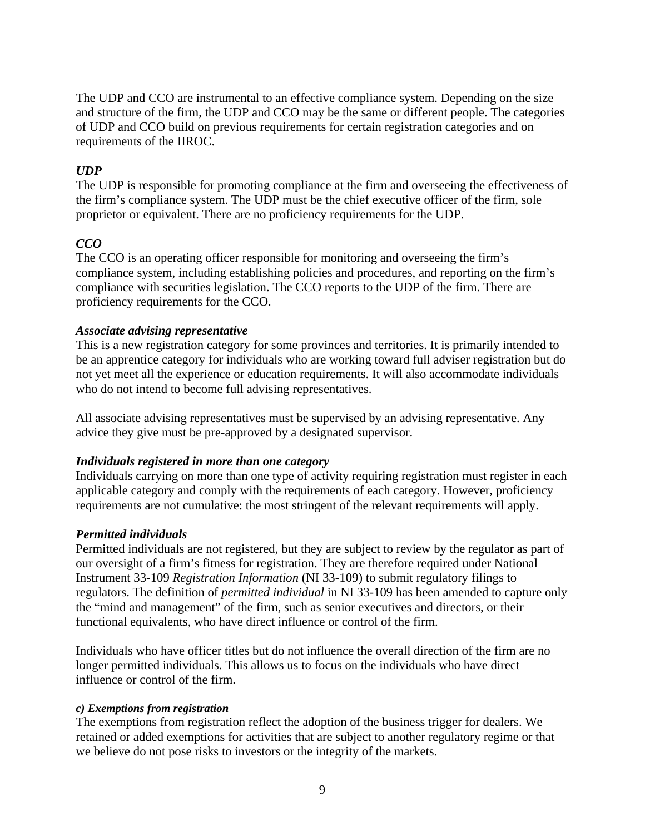The UDP and CCO are instrumental to an effective compliance system. Depending on the size and structure of the firm, the UDP and CCO may be the same or different people. The categories of UDP and CCO build on previous requirements for certain registration categories and on requirements of the IIROC.

# *UDP*

The UDP is responsible for promoting compliance at the firm and overseeing the effectiveness of the firm's compliance system. The UDP must be the chief executive officer of the firm, sole proprietor or equivalent. There are no proficiency requirements for the UDP.

# *CCO*

The CCO is an operating officer responsible for monitoring and overseeing the firm's compliance system, including establishing policies and procedures, and reporting on the firm's compliance with securities legislation. The CCO reports to the UDP of the firm. There are proficiency requirements for the CCO.

## *Associate advising representative*

This is a new registration category for some provinces and territories. It is primarily intended to be an apprentice category for individuals who are working toward full adviser registration but do not yet meet all the experience or education requirements. It will also accommodate individuals who do not intend to become full advising representatives.

All associate advising representatives must be supervised by an advising representative. Any advice they give must be pre-approved by a designated supervisor.

# *Individuals registered in more than one category*

Individuals carrying on more than one type of activity requiring registration must register in each applicable category and comply with the requirements of each category. However, proficiency requirements are not cumulative: the most stringent of the relevant requirements will apply.

# *Permitted individuals*

Permitted individuals are not registered, but they are subject to review by the regulator as part of our oversight of a firm's fitness for registration. They are therefore required under National Instrument 33-109 *Registration Information* (NI 33-109) to submit regulatory filings to regulators. The definition of *permitted individual* in NI 33-109 has been amended to capture only the "mind and management" of the firm, such as senior executives and directors, or their functional equivalents, who have direct influence or control of the firm.

Individuals who have officer titles but do not influence the overall direction of the firm are no longer permitted individuals. This allows us to focus on the individuals who have direct influence or control of the firm.

#### *c) Exemptions from registration*

The exemptions from registration reflect the adoption of the business trigger for dealers. We retained or added exemptions for activities that are subject to another regulatory regime or that we believe do not pose risks to investors or the integrity of the markets.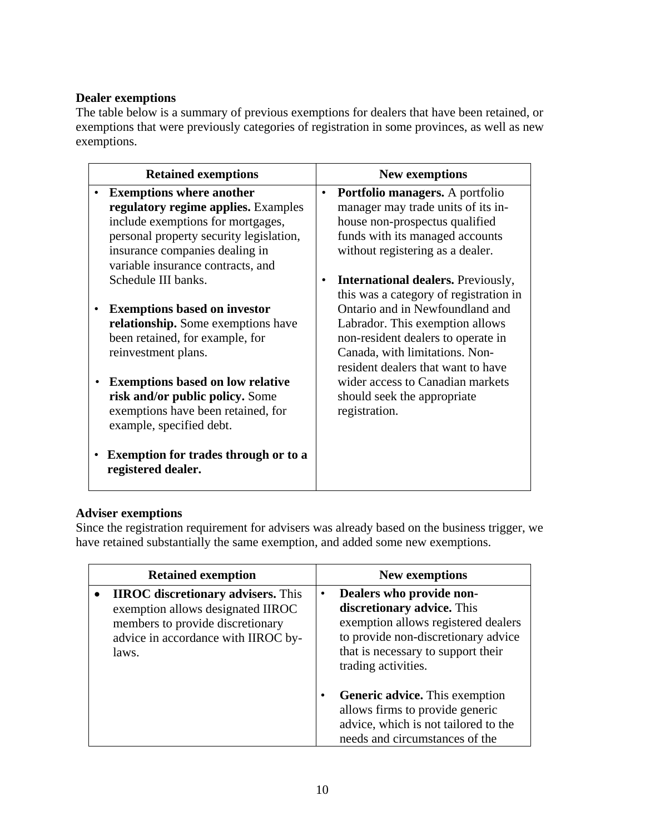# **Dealer exemptions**

The table below is a summary of previous exemptions for dealers that have been retained, or exemptions that were previously categories of registration in some provinces, as well as new exemptions.

| <b>Retained exemptions</b>                                                                                                                                                                                                    |           | <b>New exemptions</b>                                                                                                                                                                 |
|-------------------------------------------------------------------------------------------------------------------------------------------------------------------------------------------------------------------------------|-----------|---------------------------------------------------------------------------------------------------------------------------------------------------------------------------------------|
| <b>Exemptions where another</b><br>regulatory regime applies. Examples<br>include exemptions for mortgages,<br>personal property security legislation,<br>insurance companies dealing in<br>variable insurance contracts, and | $\bullet$ | <b>Portfolio managers.</b> A portfolio<br>manager may trade units of its in-<br>house non-prospectus qualified<br>funds with its managed accounts<br>without registering as a dealer. |
| Schedule III banks.                                                                                                                                                                                                           |           | <b>International dealers.</b> Previously,<br>this was a category of registration in                                                                                                   |
| <b>Exemptions based on investor</b><br>relationship. Some exemptions have<br>been retained, for example, for<br>reinvestment plans.                                                                                           |           | Ontario and in Newfoundland and<br>Labrador. This exemption allows<br>non-resident dealers to operate in<br>Canada, with limitations. Non-<br>resident dealers that want to have      |
| <b>Exemptions based on low relative</b><br>risk and/or public policy. Some<br>exemptions have been retained, for<br>example, specified debt.                                                                                  |           | wider access to Canadian markets<br>should seek the appropriate<br>registration.                                                                                                      |
| <b>Exemption for trades through or to a</b><br>registered dealer.                                                                                                                                                             |           |                                                                                                                                                                                       |

# **Adviser exemptions**

Since the registration requirement for advisers was already based on the business trigger, we have retained substantially the same exemption, and added some new exemptions.

| <b>Retained exemption</b>                                                                                                                                          |           | <b>New exemptions</b>                                                                                                                                                                             |
|--------------------------------------------------------------------------------------------------------------------------------------------------------------------|-----------|---------------------------------------------------------------------------------------------------------------------------------------------------------------------------------------------------|
| <b>IIROC</b> discretionary advisers. This<br>exemption allows designated IIROC<br>members to provide discretionary<br>advice in accordance with IIROC by-<br>laws. | $\bullet$ | Dealers who provide non-<br>discretionary advice. This<br>exemption allows registered dealers<br>to provide non-discretionary advice<br>that is necessary to support their<br>trading activities. |
|                                                                                                                                                                    | $\bullet$ | <b>Generic advice.</b> This exemption<br>allows firms to provide generic<br>advice, which is not tailored to the<br>needs and circumstances of the                                                |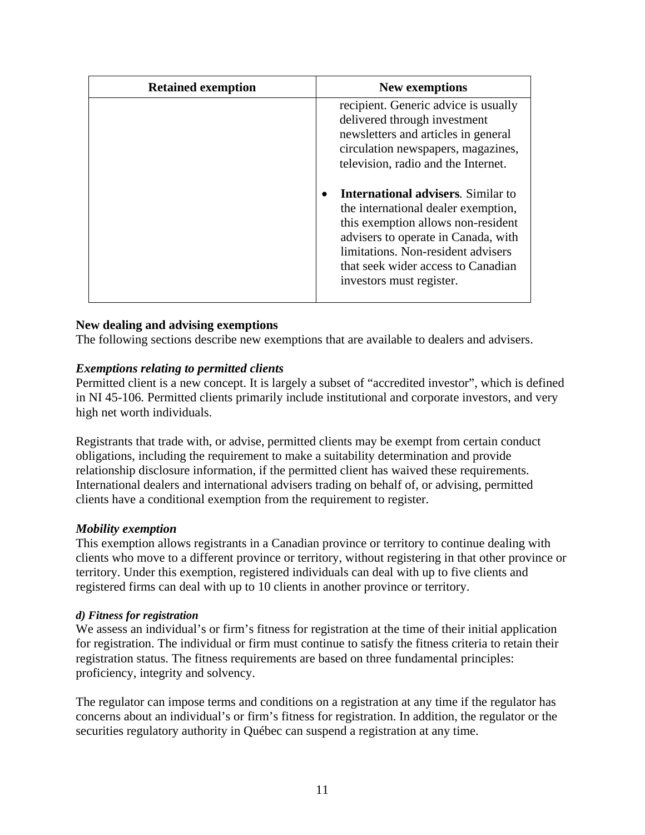| <b>Retained exemption</b> | <b>New exemptions</b>                                                                                                                                                                                                                                                                                                                                                                                                                                             |
|---------------------------|-------------------------------------------------------------------------------------------------------------------------------------------------------------------------------------------------------------------------------------------------------------------------------------------------------------------------------------------------------------------------------------------------------------------------------------------------------------------|
|                           | recipient. Generic advice is usually<br>delivered through investment<br>newsletters and articles in general<br>circulation newspapers, magazines,<br>television, radio and the Internet.<br><b>International advisers.</b> Similar to<br>the international dealer exemption,<br>this exemption allows non-resident<br>advisers to operate in Canada, with<br>limitations. Non-resident advisers<br>that seek wider access to Canadian<br>investors must register. |
|                           |                                                                                                                                                                                                                                                                                                                                                                                                                                                                   |

## **New dealing and advising exemptions**

The following sections describe new exemptions that are available to dealers and advisers.

#### *Exemptions relating to permitted clients*

Permitted client is a new concept. It is largely a subset of "accredited investor", which is defined in NI 45-106*.* Permitted clients primarily include institutional and corporate investors, and very high net worth individuals.

Registrants that trade with, or advise, permitted clients may be exempt from certain conduct obligations, including the requirement to make a suitability determination and provide relationship disclosure information, if the permitted client has waived these requirements. International dealers and international advisers trading on behalf of, or advising, permitted clients have a conditional exemption from the requirement to register.

#### *Mobility exemption*

This exemption allows registrants in a Canadian province or territory to continue dealing with clients who move to a different province or territory, without registering in that other province or territory. Under this exemption, registered individuals can deal with up to five clients and registered firms can deal with up to 10 clients in another province or territory.

#### *d) Fitness for registration*

We assess an individual's or firm's fitness for registration at the time of their initial application for registration. The individual or firm must continue to satisfy the fitness criteria to retain their registration status. The fitness requirements are based on three fundamental principles: proficiency, integrity and solvency.

The regulator can impose terms and conditions on a registration at any time if the regulator has concerns about an individual's or firm's fitness for registration. In addition, the regulator or the securities regulatory authority in Québec can suspend a registration at any time.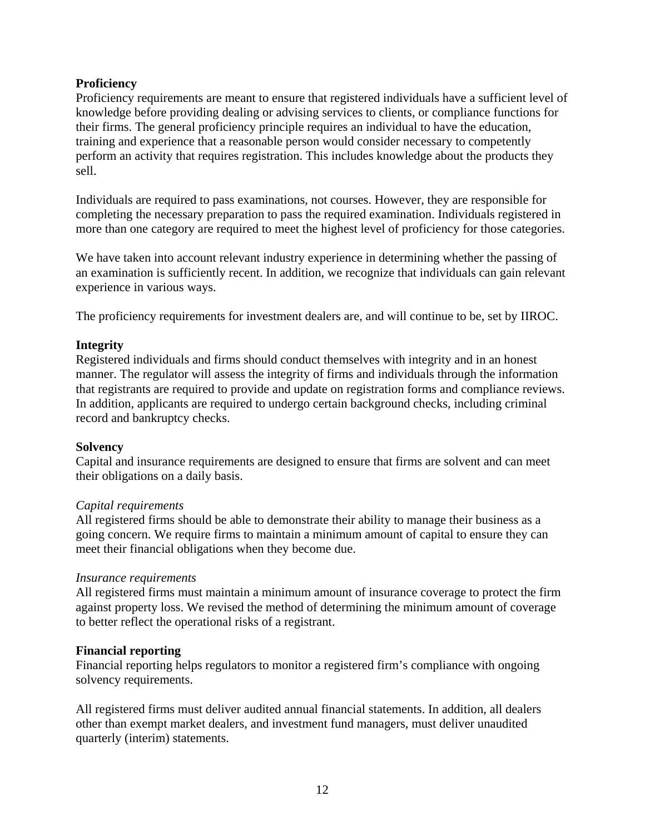### **Proficiency**

Proficiency requirements are meant to ensure that registered individuals have a sufficient level of knowledge before providing dealing or advising services to clients, or compliance functions for their firms. The general proficiency principle requires an individual to have the education, training and experience that a reasonable person would consider necessary to competently perform an activity that requires registration. This includes knowledge about the products they sell.

Individuals are required to pass examinations, not courses. However, they are responsible for completing the necessary preparation to pass the required examination. Individuals registered in more than one category are required to meet the highest level of proficiency for those categories.

We have taken into account relevant industry experience in determining whether the passing of an examination is sufficiently recent. In addition, we recognize that individuals can gain relevant experience in various ways.

The proficiency requirements for investment dealers are, and will continue to be, set by IIROC.

#### **Integrity**

Registered individuals and firms should conduct themselves with integrity and in an honest manner. The regulator will assess the integrity of firms and individuals through the information that registrants are required to provide and update on registration forms and compliance reviews. In addition, applicants are required to undergo certain background checks, including criminal record and bankruptcy checks.

#### **Solvency**

Capital and insurance requirements are designed to ensure that firms are solvent and can meet their obligations on a daily basis.

#### *Capital requirements*

All registered firms should be able to demonstrate their ability to manage their business as a going concern. We require firms to maintain a minimum amount of capital to ensure they can meet their financial obligations when they become due.

#### *Insurance requirements*

All registered firms must maintain a minimum amount of insurance coverage to protect the firm against property loss. We revised the method of determining the minimum amount of coverage to better reflect the operational risks of a registrant.

#### **Financial reporting**

Financial reporting helps regulators to monitor a registered firm's compliance with ongoing solvency requirements.

All registered firms must deliver audited annual financial statements. In addition, all dealers other than exempt market dealers, and investment fund managers, must deliver unaudited quarterly (interim) statements.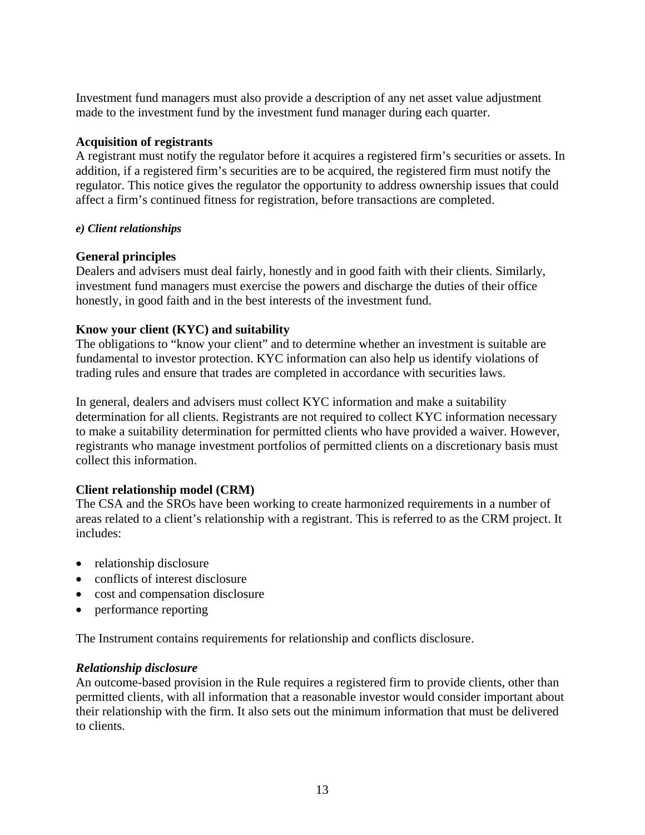Investment fund managers must also provide a description of any net asset value adjustment made to the investment fund by the investment fund manager during each quarter.

# **Acquisition of registrants**

A registrant must notify the regulator before it acquires a registered firm's securities or assets. In addition, if a registered firm's securities are to be acquired, the registered firm must notify the regulator. This notice gives the regulator the opportunity to address ownership issues that could affect a firm's continued fitness for registration, before transactions are completed.

# *e) Client relationships*

# **General principles**

Dealers and advisers must deal fairly, honestly and in good faith with their clients. Similarly, investment fund managers must exercise the powers and discharge the duties of their office honestly, in good faith and in the best interests of the investment fund.

# **Know your client (KYC) and suitability**

The obligations to "know your client" and to determine whether an investment is suitable are fundamental to investor protection. KYC information can also help us identify violations of trading rules and ensure that trades are completed in accordance with securities laws.

In general, dealers and advisers must collect KYC information and make a suitability determination for all clients. Registrants are not required to collect KYC information necessary to make a suitability determination for permitted clients who have provided a waiver. However, registrants who manage investment portfolios of permitted clients on a discretionary basis must collect this information.

# **Client relationship model (CRM)**

The CSA and the SROs have been working to create harmonized requirements in a number of areas related to a client's relationship with a registrant. This is referred to as the CRM project. It includes:

- relationship disclosure
- conflicts of interest disclosure
- cost and compensation disclosure
- performance reporting

The Instrument contains requirements for relationship and conflicts disclosure.

# *Relationship disclosure*

An outcome-based provision in the Rule requires a registered firm to provide clients, other than permitted clients, with all information that a reasonable investor would consider important about their relationship with the firm. It also sets out the minimum information that must be delivered to clients.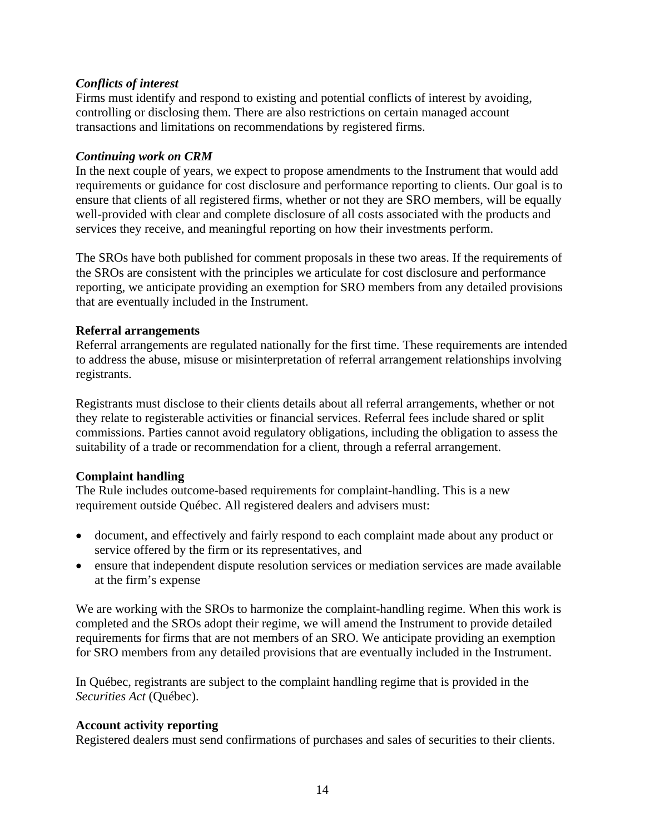# *Conflicts of interest*

Firms must identify and respond to existing and potential conflicts of interest by avoiding, controlling or disclosing them. There are also restrictions on certain managed account transactions and limitations on recommendations by registered firms.

### *Continuing work on CRM*

In the next couple of years, we expect to propose amendments to the Instrument that would add requirements or guidance for cost disclosure and performance reporting to clients. Our goal is to ensure that clients of all registered firms, whether or not they are SRO members, will be equally well-provided with clear and complete disclosure of all costs associated with the products and services they receive, and meaningful reporting on how their investments perform.

The SROs have both published for comment proposals in these two areas. If the requirements of the SROs are consistent with the principles we articulate for cost disclosure and performance reporting, we anticipate providing an exemption for SRO members from any detailed provisions that are eventually included in the Instrument.

## **Referral arrangements**

Referral arrangements are regulated nationally for the first time. These requirements are intended to address the abuse, misuse or misinterpretation of referral arrangement relationships involving registrants.

Registrants must disclose to their clients details about all referral arrangements, whether or not they relate to registerable activities or financial services. Referral fees include shared or split commissions. Parties cannot avoid regulatory obligations, including the obligation to assess the suitability of a trade or recommendation for a client, through a referral arrangement.

# **Complaint handling**

The Rule includes outcome-based requirements for complaint-handling. This is a new requirement outside Québec. All registered dealers and advisers must:

- document, and effectively and fairly respond to each complaint made about any product or service offered by the firm or its representatives, and
- ensure that independent dispute resolution services or mediation services are made available at the firm's expense

We are working with the SROs to harmonize the complaint-handling regime. When this work is completed and the SROs adopt their regime, we will amend the Instrument to provide detailed requirements for firms that are not members of an SRO. We anticipate providing an exemption for SRO members from any detailed provisions that are eventually included in the Instrument.

In Québec, registrants are subject to the complaint handling regime that is provided in the *Securities Act* (Québec).

# **Account activity reporting**

Registered dealers must send confirmations of purchases and sales of securities to their clients.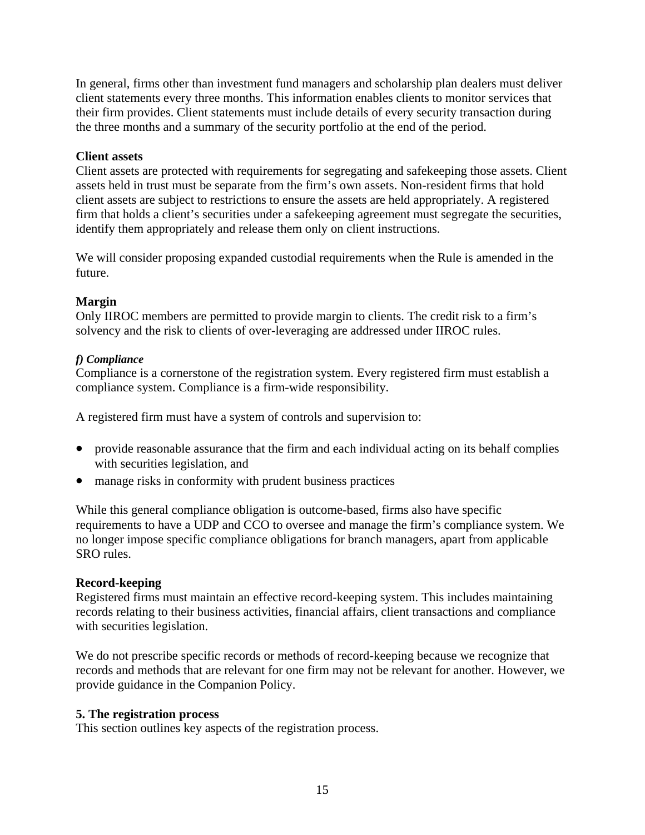In general, firms other than investment fund managers and scholarship plan dealers must deliver client statements every three months. This information enables clients to monitor services that their firm provides. Client statements must include details of every security transaction during the three months and a summary of the security portfolio at the end of the period.

# **Client assets**

Client assets are protected with requirements for segregating and safekeeping those assets. Client assets held in trust must be separate from the firm's own assets. Non-resident firms that hold client assets are subject to restrictions to ensure the assets are held appropriately. A registered firm that holds a client's securities under a safekeeping agreement must segregate the securities, identify them appropriately and release them only on client instructions.

We will consider proposing expanded custodial requirements when the Rule is amended in the future.

# **Margin**

Only IIROC members are permitted to provide margin to clients. The credit risk to a firm's solvency and the risk to clients of over-leveraging are addressed under IIROC rules.

# *f) Compliance*

Compliance is a cornerstone of the registration system. Every registered firm must establish a compliance system. Compliance is a firm-wide responsibility.

A registered firm must have a system of controls and supervision to:

- provide reasonable assurance that the firm and each individual acting on its behalf complies with securities legislation, and
- manage risks in conformity with prudent business practices

While this general compliance obligation is outcome-based, firms also have specific requirements to have a UDP and CCO to oversee and manage the firm's compliance system. We no longer impose specific compliance obligations for branch managers, apart from applicable SRO rules.

# **Record-keeping**

Registered firms must maintain an effective record-keeping system. This includes maintaining records relating to their business activities, financial affairs, client transactions and compliance with securities legislation.

We do not prescribe specific records or methods of record-keeping because we recognize that records and methods that are relevant for one firm may not be relevant for another. However, we provide guidance in the Companion Policy.

# **5. The registration process**

This section outlines key aspects of the registration process.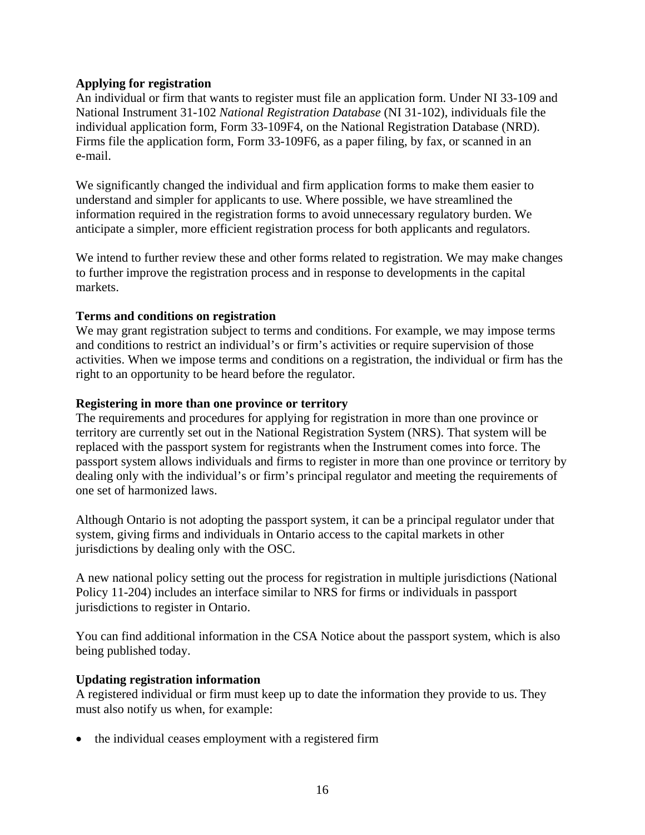### **Applying for registration**

An individual or firm that wants to register must file an application form. Under NI 33-109 and National Instrument 31-102 *National Registration Database* (NI 31-102), individuals file the individual application form, Form 33-109F4, on the National Registration Database (NRD). Firms file the application form, Form 33-109F6, as a paper filing, by fax, or scanned in an e-mail.

We significantly changed the individual and firm application forms to make them easier to understand and simpler for applicants to use. Where possible, we have streamlined the information required in the registration forms to avoid unnecessary regulatory burden. We anticipate a simpler, more efficient registration process for both applicants and regulators.

We intend to further review these and other forms related to registration. We may make changes to further improve the registration process and in response to developments in the capital markets.

## **Terms and conditions on registration**

We may grant registration subject to terms and conditions. For example, we may impose terms and conditions to restrict an individual's or firm's activities or require supervision of those activities. When we impose terms and conditions on a registration, the individual or firm has the right to an opportunity to be heard before the regulator.

#### **Registering in more than one province or territory**

The requirements and procedures for applying for registration in more than one province or territory are currently set out in the National Registration System (NRS). That system will be replaced with the passport system for registrants when the Instrument comes into force. The passport system allows individuals and firms to register in more than one province or territory by dealing only with the individual's or firm's principal regulator and meeting the requirements of one set of harmonized laws.

Although Ontario is not adopting the passport system, it can be a principal regulator under that system, giving firms and individuals in Ontario access to the capital markets in other jurisdictions by dealing only with the OSC.

A new national policy setting out the process for registration in multiple jurisdictions (National Policy 11-204) includes an interface similar to NRS for firms or individuals in passport jurisdictions to register in Ontario.

You can find additional information in the CSA Notice about the passport system, which is also being published today.

#### **Updating registration information**

A registered individual or firm must keep up to date the information they provide to us. They must also notify us when, for example:

• the individual ceases employment with a registered firm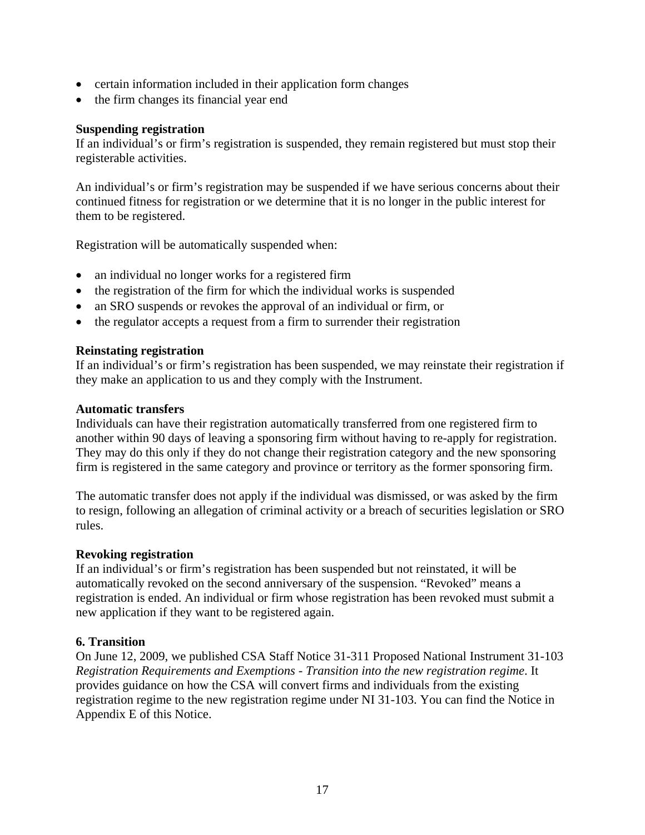- certain information included in their application form changes
- the firm changes its financial year end

#### **Suspending registration**

If an individual's or firm's registration is suspended, they remain registered but must stop their registerable activities.

An individual's or firm's registration may be suspended if we have serious concerns about their continued fitness for registration or we determine that it is no longer in the public interest for them to be registered.

Registration will be automatically suspended when:

- an individual no longer works for a registered firm
- the registration of the firm for which the individual works is suspended
- an SRO suspends or revokes the approval of an individual or firm, or
- the regulator accepts a request from a firm to surrender their registration

#### **Reinstating registration**

If an individual's or firm's registration has been suspended, we may reinstate their registration if they make an application to us and they comply with the Instrument.

#### **Automatic transfers**

Individuals can have their registration automatically transferred from one registered firm to another within 90 days of leaving a sponsoring firm without having to re-apply for registration. They may do this only if they do not change their registration category and the new sponsoring firm is registered in the same category and province or territory as the former sponsoring firm.

The automatic transfer does not apply if the individual was dismissed, or was asked by the firm to resign, following an allegation of criminal activity or a breach of securities legislation or SRO rules.

#### **Revoking registration**

If an individual's or firm's registration has been suspended but not reinstated, it will be automatically revoked on the second anniversary of the suspension. "Revoked" means a registration is ended. An individual or firm whose registration has been revoked must submit a new application if they want to be registered again.

#### **6. Transition**

On June 12, 2009, we published CSA Staff Notice 31-311 Proposed National Instrument 31-103 *Registration Requirements and Exemptions - Transition into the new registration regime*. It provides guidance on how the CSA will convert firms and individuals from the existing registration regime to the new registration regime under NI 31-103. You can find the Notice in Appendix E of this Notice.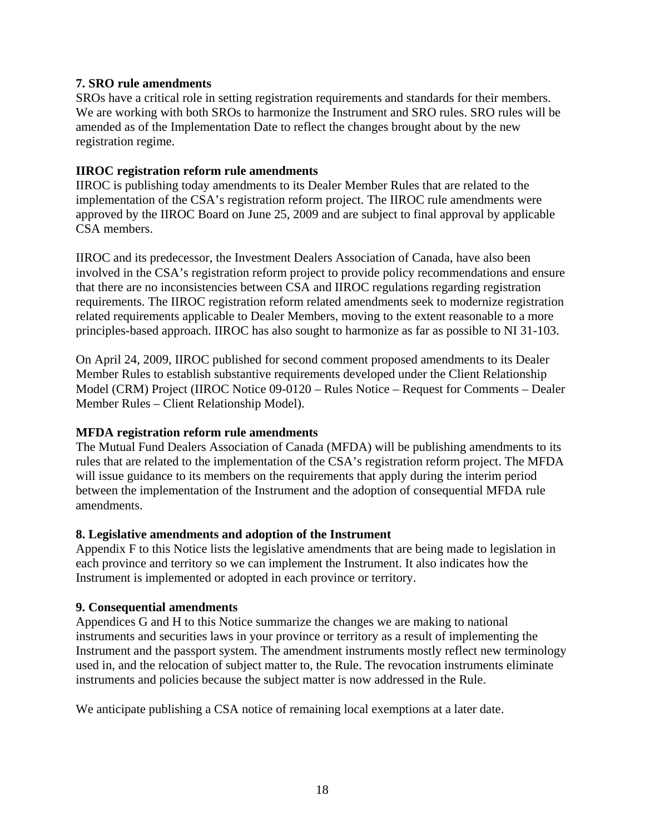## **7. SRO rule amendments**

SROs have a critical role in setting registration requirements and standards for their members. We are working with both SROs to harmonize the Instrument and SRO rules. SRO rules will be amended as of the Implementation Date to reflect the changes brought about by the new registration regime.

### **IIROC registration reform rule amendments**

IIROC is publishing today amendments to its Dealer Member Rules that are related to the implementation of the CSA's registration reform project. The IIROC rule amendments were approved by the IIROC Board on June 25, 2009 and are subject to final approval by applicable CSA members.

IIROC and its predecessor, the Investment Dealers Association of Canada, have also been involved in the CSA's registration reform project to provide policy recommendations and ensure that there are no inconsistencies between CSA and IIROC regulations regarding registration requirements. The IIROC registration reform related amendments seek to modernize registration related requirements applicable to Dealer Members, moving to the extent reasonable to a more principles-based approach. IIROC has also sought to harmonize as far as possible to NI 31-103.

On April 24, 2009, IIROC published for second comment proposed amendments to its Dealer Member Rules to establish substantive requirements developed under the Client Relationship Model (CRM) Project (IIROC Notice 09-0120 – Rules Notice – Request for Comments – Dealer Member Rules – Client Relationship Model).

# **MFDA registration reform rule amendments**

The Mutual Fund Dealers Association of Canada (MFDA) will be publishing amendments to its rules that are related to the implementation of the CSA's registration reform project. The MFDA will issue guidance to its members on the requirements that apply during the interim period between the implementation of the Instrument and the adoption of consequential MFDA rule amendments.

#### **8. Legislative amendments and adoption of the Instrument**

Appendix F to this Notice lists the legislative amendments that are being made to legislation in each province and territory so we can implement the Instrument. It also indicates how the Instrument is implemented or adopted in each province or territory.

#### **9. Consequential amendments**

Appendices G and H to this Notice summarize the changes we are making to national instruments and securities laws in your province or territory as a result of implementing the Instrument and the passport system. The amendment instruments mostly reflect new terminology used in, and the relocation of subject matter to, the Rule. The revocation instruments eliminate instruments and policies because the subject matter is now addressed in the Rule.

We anticipate publishing a CSA notice of remaining local exemptions at a later date.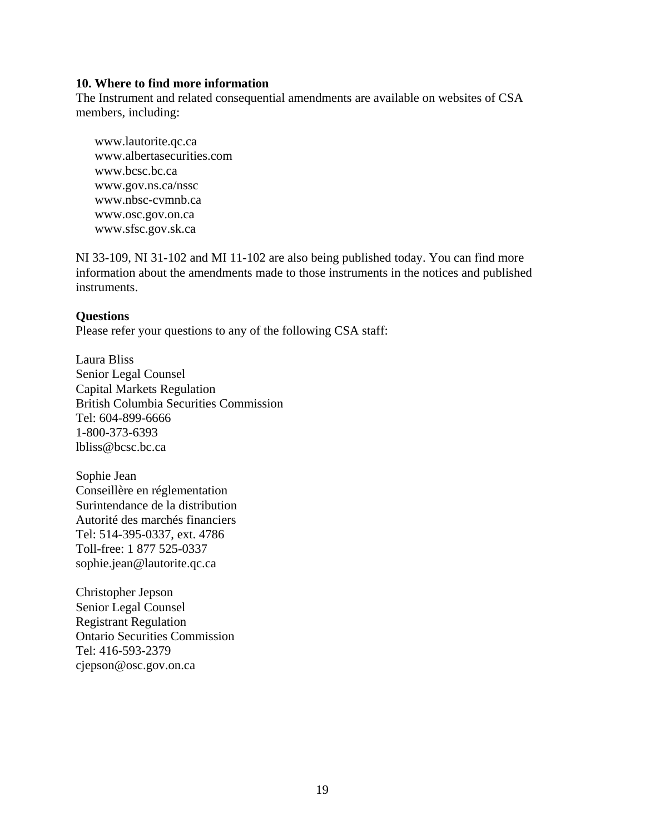#### **10. Where to find more information**

The Instrument and related consequential amendments are available on websites of CSA members, including:

www.lautorite.qc.ca www.albertasecurities.com www.bcsc.bc.ca www.gov.ns.ca/nssc www.nbsc-cvmnb.ca www.osc.gov.on.ca www.sfsc.gov.sk.ca

NI 33-109, NI 31-102 and MI 11-102 are also being published today. You can find more information about the amendments made to those instruments in the notices and published instruments.

#### **Questions**

Please refer your questions to any of the following CSA staff:

Laura Bliss Senior Legal Counsel Capital Markets Regulation British Columbia Securities Commission Tel: 604-899-6666 1-800-373-6393 lbliss@bcsc.bc.ca

Sophie Jean Conseillère en réglementation Surintendance de la distribution Autorité des marchés financiers Tel: 514-395-0337, ext. 4786 Toll-free: 1 877 525-0337 sophie.jean@lautorite.qc.ca

Christopher Jepson Senior Legal Counsel Registrant Regulation Ontario Securities Commission Tel: 416-593-2379 cjepson@osc.gov.on.ca